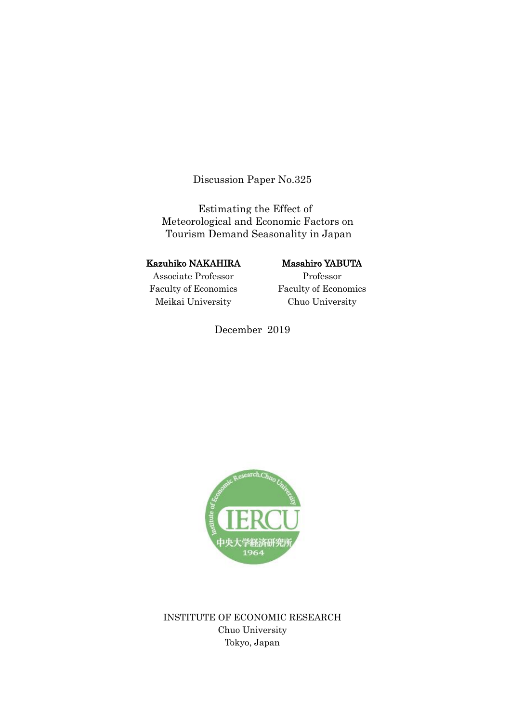Discussion Paper No.325

Estimating the Effect of Meteorological and Economic Factors on Tourism Demand Seasonality in Japan

# Kazuhiko NAKAHIRA

# Masahiro YABUTA

Associate Professor Faculty of Economics Meikai University

Professor Faculty of Economics Chuo University

December 2019



INSTITUTE OF ECONOMIC RESEARCH Chuo University Tokyo, Japan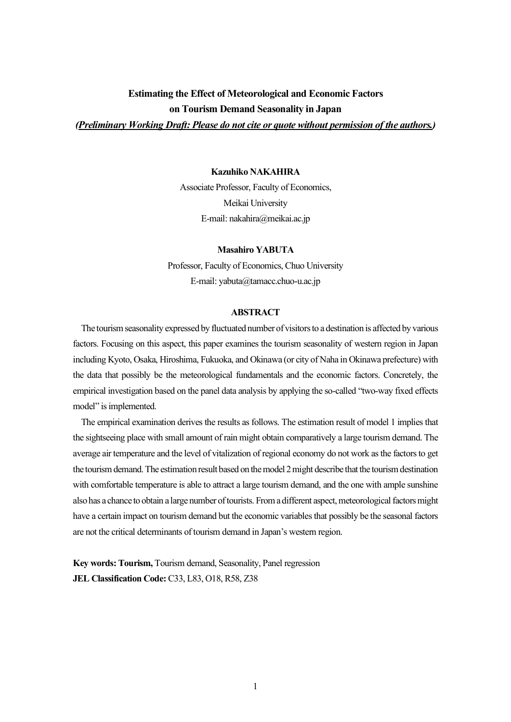# **Estimating the Effect of Meteorological and Economic Factors on Tourism Demand Seasonality in Japan**

*(Preliminary Working Draft: Please do not cite or quote without permission of the authors.)*

#### **Kazuhiko NAKAHIRA**

Associate Professor, Faculty of Economics, Meikai University E-mail: nakahira@meikai.ac.jp

# **Masahiro YABUTA**

Professor, Faculty of Economics, Chuo University E-mail: yabuta@tamacc.chuo-u.ac.jp

#### **ABSTRACT**

The tourism seasonality expressed by fluctuated number of visitors to a destination is affected by various factors. Focusing on this aspect, this paper examines the tourism seasonality of western region in Japan including Kyoto, Osaka, Hiroshima, Fukuoka, and Okinawa (or city of Naha in Okinawa prefecture) with the data that possibly be the meteorological fundamentals and the economic factors. Concretely, the empirical investigation based on the panel data analysis by applying the so-called "two-way fixed effects model" is implemented.

 The empirical examination derives the results as follows. The estimation result of model 1 implies that the sightseeing place with small amount of rain might obtain comparatively a large tourism demand. The average air temperature and the level of vitalization of regional economy do not work as the factors to get the tourism demand. The estimation result based on the model 2 might describe that the tourism destination with comfortable temperature is able to attract a large tourism demand, and the one with ample sunshine also has a chance to obtain a large number of tourists. From a different aspect, meteorological factors might have a certain impact on tourism demand but the economic variables that possibly be the seasonal factors are not the critical determinants of tourism demand in Japan's western region.

**Key words: Tourism,** Tourism demand, Seasonality, Panel regression **JEL Classification Code:** C33, L83, O18, R58, Z38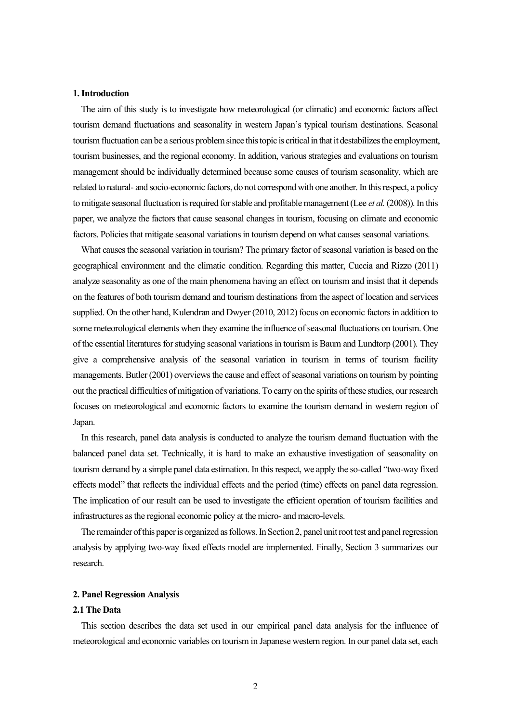#### **1. Introduction**

 The aim of this study is to investigate how meteorological (or climatic) and economic factors affect tourism demand fluctuations and seasonality in western Japan's typical tourism destinations. Seasonal tourism fluctuation can be a serious problem since this topic is critical in that it destabilizes the employment, tourism businesses, and the regional economy. In addition, various strategies and evaluations on tourism management should be individually determined because some causes of tourism seasonality, which are related to natural- and socio-economic factors, do not correspond with one another. In this respect, a policy to mitigate seasonal fluctuation is required for stable and profitable management (Lee *et al.*(2008)). In this paper, we analyze the factors that cause seasonal changes in tourism, focusing on climate and economic factors. Policies that mitigate seasonal variations in tourism depend on what causes seasonal variations.

 What causes the seasonal variation in tourism? The primary factor of seasonal variation is based on the geographical environment and the climatic condition. Regarding this matter, Cuccia and Rizzo (2011) analyze seasonality as one of the main phenomena having an effect on tourism and insist that it depends on the features of both tourism demand and tourism destinations from the aspect of location and services supplied. On the other hand, Kulendran and Dwyer (2010, 2012) focus on economic factors in addition to some meteorological elements when they examine the influence of seasonal fluctuations on tourism. One of the essential literatures for studying seasonal variations in tourism is Baum and Lundtorp (2001). They give a comprehensive analysis of the seasonal variation in tourism in terms of tourism facility managements. Butler (2001) overviews the cause and effect of seasonal variations on tourism by pointing out the practical difficulties of mitigation of variations. To carry on the spirits of these studies, our research focuses on meteorological and economic factors to examine the tourism demand in western region of Japan.

 In this research, panel data analysis is conducted to analyze the tourism demand fluctuation with the balanced panel data set. Technically, it is hard to make an exhaustive investigation of seasonality on tourism demand by a simple panel data estimation. In this respect, we apply the so-called "two-way fixed effects model" that reflects the individual effects and the period (time) effects on panel data regression. The implication of our result can be used to investigate the efficient operation of tourism facilities and infrastructures as the regional economic policy at the micro- and macro-levels.

 The remainder of this paper is organized as follows. In Section 2, panel unit root test and panel regression analysis by applying two-way fixed effects model are implemented. Finally, Section 3 summarizes our research.

#### **2. Panel Regression Analysis**

#### **2.1 The Data**

 This section describes the data set used in our empirical panel data analysis for the influence of meteorological and economic variables on tourism in Japanese western region. In our panel data set, each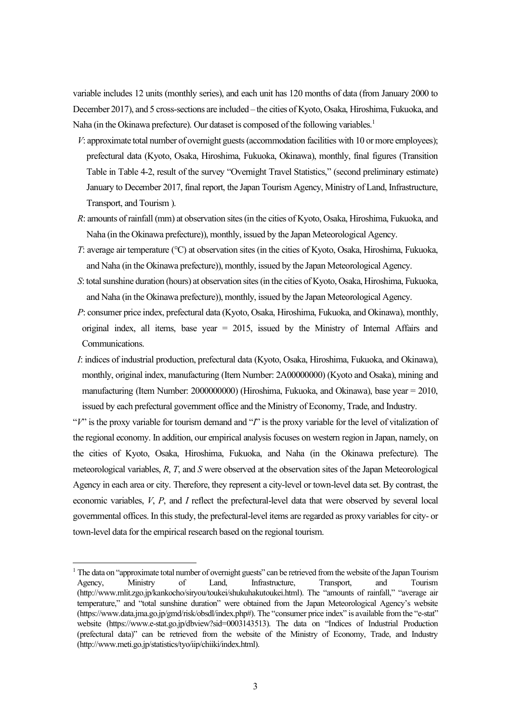variable includes 12 units (monthly series), and each unit has 120 months of data (from January 2000 to December 2017), and 5 cross-sections are included – the cities of Kyoto, Osaka, Hiroshima, Fukuoka, and Naha (in the Okinawa prefecture). Our dataset is composed of the following variables.<sup>1</sup>

- *V*: approximate total number of overnight guests (accommodation facilities with 10 or more employees); prefectural data (Kyoto, Osaka, Hiroshima, Fukuoka, Okinawa), monthly, final figures (Transition Table in Table 4-2, result of the survey "Overnight Travel Statistics," (second preliminary estimate) January to December 2017, final report, the Japan Tourism Agency, Ministry of Land, Infrastructure, Transport, and Tourism ).
- *R*: amounts of rainfall (mm) at observation sites (in the cities of Kyoto, Osaka, Hiroshima, Fukuoka, and Naha (in the Okinawa prefecture)), monthly, issued by the Japan Meteorological Agency.
- *T*: average air temperature (°C) at observation sites (in the cities of Kyoto, Osaka, Hiroshima, Fukuoka, and Naha (in the Okinawa prefecture)), monthly, issued by the Japan Meteorological Agency.
- *S*: total sunshine duration (hours) at observation sites (in the cities of Kyoto, Osaka, Hiroshima, Fukuoka, and Naha (in the Okinawa prefecture)), monthly, issued by the Japan Meteorological Agency.
- *P*: consumer price index, prefectural data (Kyoto, Osaka, Hiroshima, Fukuoka, and Okinawa), monthly, original index, all items, base year = 2015, issued by the Ministry of Internal Affairs and Communications.
- *I*: indices of industrial production, prefectural data (Kyoto, Osaka, Hiroshima, Fukuoka, and Okinawa), monthly, original index, manufacturing (Item Number: 2A00000000) (Kyoto and Osaka), mining and manufacturing (Item Number: 2000000000) (Hiroshima, Fukuoka, and Okinawa), base year = 2010, issued by each prefectural government office and the Ministry of Economy, Trade, and Industry.

"*V*" is the proxy variable for tourism demand and "*I*" is the proxy variable for the level of vitalization of the regional economy. In addition, our empirical analysis focuses on western region in Japan, namely, on the cities of Kyoto, Osaka, Hiroshima, Fukuoka, and Naha (in the Okinawa prefecture). The meteorological variables, *R*, *T*, and *S* were observed at the observation sites of the Japan Meteorological Agency in each area or city. Therefore, they represent a city-level or town-level data set. By contrast, the economic variables, *V*, *P*, and *I* reflect the prefectural-level data that were observed by several local governmental offices. In this study, the prefectural-level items are regarded as proxy variables for city- or town-level data for the empirical research based on the regional tourism.

 $1$  The data on "approximate total number of overnight guests" can be retrieved from the website of the Japan Tourism Agency, Ministry of Land, Infrastructure, Transport, and Tourism (http://www.mlit.zgo.jp/kankocho/siryou/toukei/shukuhakutoukei.html). The "amounts of rainfall," "average air temperature," and "total sunshine duration" were obtained from the Japan Meteorological Agency's website (https://www.data.jma.go.jp/gmd/risk/obsdl/index.php#). The "consumer price index" is available from the "e-stat" website (https://www.e-stat.go.jp/dbview?sid=0003143513). The data on "Indices of Industrial Production (prefectural data)" can be retrieved from the website of the Ministry of Economy, Trade, and Industry (http://www.meti.go.jp/statistics/tyo/iip/chiiki/index.html).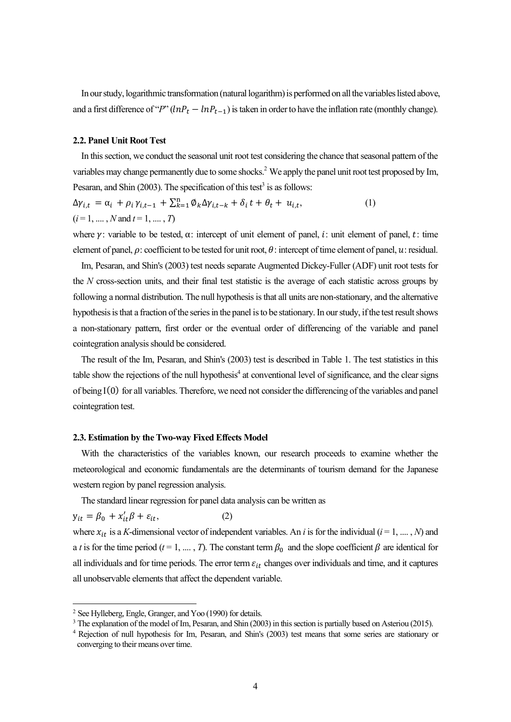In our study, logarithmic transformation (natural logarithm) is performed on all the variables listed above, and a first difference of "*P*"  $(lnP_t - lnP_{t-1})$  is taken in order to have the inflation rate (monthly change).

## **2.2. Panel Unit Root Test**

 In this section, we conduct the seasonal unit root test considering the chance that seasonal pattern of the variables may change permanently due to some shocks.<sup>2</sup> We apply the panel unit root test proposed by Im, Pesaran, and Shin (2003). The specification of this test<sup>3</sup> is as follows:

$$
\Delta \gamma_{i,t} = \alpha_i + \rho_i \gamma_{i,t-1} + \sum_{k=1}^n \phi_k \Delta \gamma_{i,t-k} + \delta_i t + \theta_t + u_{i,t},
$$
  
(*i* = 1, ..., *N* and *t* = 1, ..., *T*) (1)

where  $\gamma$ : variable to be tested,  $\alpha$ : intercept of unit element of panel, i: unit element of panel, t: time element of panel,  $\rho$ : coefficient to be tested for unit root,  $\theta$ : intercept of time element of panel,  $u$ : residual.

 Im, Pesaran, and Shin's (2003) test needs separate Augmented Dickey-Fuller (ADF) unit root tests for the *N* cross-section units, and their final test statistic is the average of each statistic across groups by following a normal distribution. The null hypothesis is that all units are non-stationary, and the alternative hypothesis is that a fraction of the series in the panel isto be stationary. In our study, if the test result shows a non-stationary pattern, first order or the eventual order of differencing of the variable and panel cointegration analysis should be considered.

 The result of the Im, Pesaran, and Shin's (2003) test is described in Table 1. The test statistics in this table show the rejections of the null hypothesis<sup>4</sup> at conventional level of significance, and the clear signs of being I(0) for all variables. Therefore, we need not consider the differencing of the variables and panel cointegration test.

#### **2.3. Estimation by the Two-way Fixed Effects Model**

 With the characteristics of the variables known, our research proceeds to examine whether the meteorological and economic fundamentals are the determinants of tourism demand for the Japanese western region by panel regression analysis.

The standard linear regression for panel data analysis can be written as

$$
y_{it} = \beta_0 + x_{it}'\beta + \varepsilon_{it},\tag{2}
$$

where  $x_{it}$  is a *K*-dimensional vector of independent variables. An *i* is for the individual ( $i = 1, ..., N$ ) and a *t* is for the time period ( $t = 1, ..., T$ ). The constant term  $\beta_0$  and the slope coefficient  $\beta$  are identical for all individuals and for time periods. The error term  $\varepsilon_{it}$  changes over individuals and time, and it captures all unobservable elements that affect the dependent variable.

<sup>2</sup> See Hylleberg, Engle, Granger, and Yoo (1990) for details.

<sup>&</sup>lt;sup>3</sup> The explanation of the model of Im, Pesaran, and Shin (2003) in this section is partially based on Asteriou (2015).

<sup>&</sup>lt;sup>4</sup> Rejection of null hypothesis for Im, Pesaran, and Shin's (2003) test means that some series are stationary or converging to their means over time.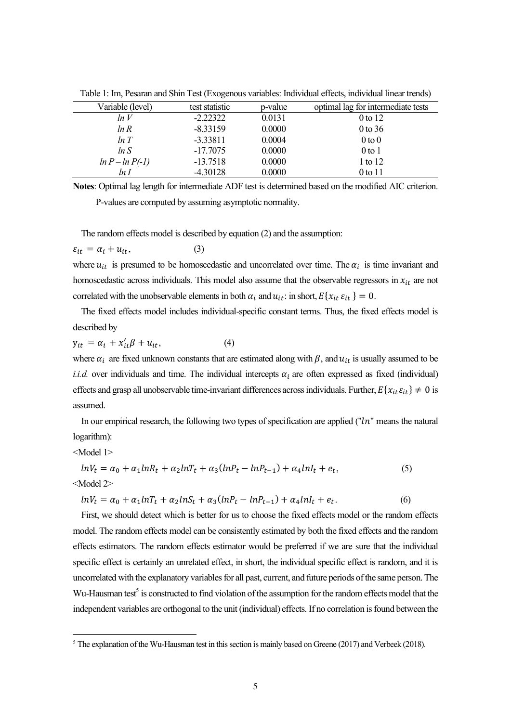| Variable (level)  | test statistic | p-value | optimal lag for intermediate tests |  |
|-------------------|----------------|---------|------------------------------------|--|
| ln V              | $-2.22322$     | 0.0131  | 0 to 12                            |  |
| ln R              | $-8.33159$     | 0.0000  | $0$ to 36                          |  |
| ln T              | $-3.33811$     | 0.0004  | $0$ to $0$                         |  |
| ln S              | $-17.7075$     | 0.0000  | $0$ to $1$                         |  |
| $ln P - ln P(-1)$ | $-13.7518$     | 0.0000  | 1 to 12                            |  |
| ln I              | $-4.30128$     | 0.0000  | 0 to 11                            |  |
|                   |                |         |                                    |  |

Table 1: Im, Pesaran and Shin Test (Exogenous variables: Individual effects, individual linear trends)

**Notes**: Optimal lag length for intermediate ADF test is determined based on the modified AIC criterion. P-values are computed by assuming asymptotic normality.

The random effects model is described by equation (2) and the assumption:

$$
\varepsilon_{it} = \alpha_i + u_{it}, \tag{3}
$$

where  $u_{it}$  is presumed to be homoscedastic and uncorrelated over time. The  $\alpha_i$  is time invariant and homoscedastic across individuals. This model also assume that the observable regressors in  $x_{it}$  are not correlated with the unobservable elements in both  $\alpha_i$  and  $u_{it}$ : in short,  $E\{x_{it} \varepsilon_{it}\}=0$ .

 The fixed effects model includes individual-specific constant terms. Thus, the fixed effects model is described by

 $y_{it} = \alpha_i + x'_{it}\beta + u_{it},$  (4)

where  $\alpha_i$  are fixed unknown constants that are estimated along with  $\beta$ , and  $u_{it}$  is usually assumed to be *i.i.d.* over individuals and time. The individual intercepts  $\alpha_i$  are often expressed as fixed (individual) effects and grasp all unobservable time-invariant differences across individuals. Further,  $E\{x_{it}\varepsilon_{it}\}\neq 0$  is assumed.

In our empirical research, the following two types of specification are applied ("ln" means the natural logarithm):

<Model 1>

$$
lnV_t = \alpha_0 + \alpha_1 lnR_t + \alpha_2 lnT_t + \alpha_3(lnP_t - lnP_{t-1}) + \alpha_4 lnI_t + e_t,
$$
\n
$$
\langle \text{Model 2>}
$$
\n
$$
(5)
$$

$$
lnV_t = \alpha_0 + \alpha_1 lnT_t + \alpha_2 lnS_t + \alpha_3(lnP_t - lnP_{t-1}) + \alpha_4 lnI_t + e_t.
$$
\n(6)

 First, we should detect which is better for us to choose the fixed effects model or the random effects model. The random effects model can be consistently estimated by both the fixed effects and the random effects estimators. The random effects estimator would be preferred if we are sure that the individual specific effect is certainly an unrelated effect, in short, the individual specific effect is random, and it is uncorrelated with the explanatory variables for all past, current, and future periods of the same person. The Wu-Hausman test<sup>5</sup> is constructed to find violation of the assumption for the random effects model that the independent variables are orthogonal to the unit (individual) effects. If no correlation is found between the

<sup>5</sup> The explanation of the Wu-Hausman test in this section is mainly based on Greene (2017) and Verbeek (2018).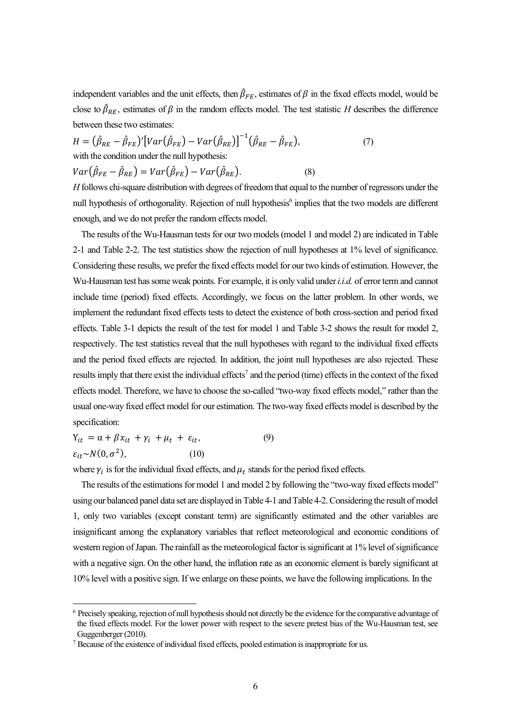independent variables and the unit effects, then  $\hat{\beta}_{FE}$ , estimates of  $\beta$  in the fixed effects model, would be close to  $\hat{\beta}_{RE}$ , estimates of  $\beta$  in the random effects model. The test statistic *H* describes the difference between these two estimates:

$$
H = (\hat{\beta}_{RE} - \hat{\beta}_{FE})' [Var(\hat{\beta}_{FE}) - Var(\hat{\beta}_{RE})]^{-1} (\hat{\beta}_{RE} - \hat{\beta}_{FE}),
$$
  
\nwith the condition under the null hypothesis:  
\n
$$
Var(\hat{\beta}_{FE} - \hat{\beta}_{RE}) = Var(\hat{\beta}_{FE}) - Var(\hat{\beta}_{RE}).
$$
\n(8)

*H* follows chi-square distribution with degrees of freedom that equal to the number of regressors under the null hypothesis of orthogonality. Rejection of null hypothesis<sup>6</sup> implies that the two models are different enough, and we do not prefer the random effects model.

 The results of the Wu-Hausman tests for our two models (model 1 and model 2) are indicated in Table 2-1 and Table 2-2. The test statistics show the rejection of null hypotheses at 1% level of significance. Considering these results, we prefer the fixed effects model for our two kinds of estimation. However, the Wu-Hausman test hassome weak points. For example, it is only valid under *i.i.d.* of error term and cannot include time (period) fixed effects. Accordingly, we focus on the latter problem. In other words, we implement the redundant fixed effects tests to detect the existence of both cross-section and period fixed effects. Table 3-1 depicts the result of the test for model 1 and Table 3-2 shows the result for model 2, respectively. The test statistics reveal that the null hypotheses with regard to the individual fixed effects and the period fixed effects are rejected. In addition, the joint null hypotheses are also rejected. These results imply that there exist the individual effects<sup>7</sup> and the period (time) effects in the context of the fixed effects model. Therefore, we have to choose the so-called "two-way fixed effects model," rather than the usual one-way fixed effect model for our estimation. The two-way fixed effects model is described by the specification:

 $Y_{it} = \alpha + \beta x_{it} + \gamma_i + \mu_t + \varepsilon_{it},$  (9)  $\varepsilon_{it} \sim N(0, \sigma^2),$  $(10)$ 

where  $\gamma_i$  is for the individual fixed effects, and  $\mu_t$  stands for the period fixed effects.

 The results of the estimations for model 1 and model 2 by following the "two-way fixed effects model" using our balanced panel data set are displayed in Table 4-1 and Table 4-2. Considering the result of model 1, only two variables (except constant term) are significantly estimated and the other variables are insignificant among the explanatory variables that reflect meteorological and economic conditions of western region of Japan. The rainfall as the meteorological factor is significant at 1% level of significance with a negative sign. On the other hand, the inflation rate as an economic element is barely significant at 10% level with a positive sign. If we enlarge on these points, we have the following implications. In the

<sup>6</sup> Precisely speaking, rejection of null hypothesis should not directly be the evidence forthe comparative advantage of the fixed effects model. For the lower power with respect to the severe pretest bias of the Wu-Hausman test, see Guggenberger (2010).

 $7$  Because of the existence of individual fixed effects, pooled estimation is inappropriate for us.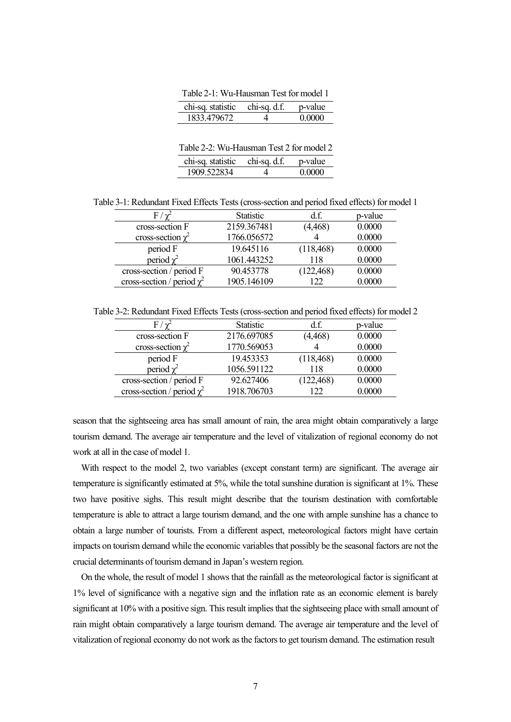Table 2-1: Wu-Hausman Test for model 1

| chi-sq. statistic chi-sq. d.f. | n-value        |
|--------------------------------|----------------|
| 1833.479672                    | <u>N UUU U</u> |

Table 2-2: Wu-Hausman Test 2 for model 2

| chi-sq. statistic chi-sq. d.f. | n-value |
|--------------------------------|---------|
| 1909.522834                    | 0.0000  |

Table 3-1: Redundant Fixed Effects Tests (cross-section and period fixed effects) for model 1

| $F / \gamma$                    | <b>Statistic</b> | d.f.       | p-value |
|---------------------------------|------------------|------------|---------|
| cross-section F                 | 2159.367481      | (4, 468)   | 0.0000  |
| cross-section $\chi^2$          | 1766.056572      |            | 0.0000  |
| period F                        | 19.645116        | (118, 468) | 0.0000  |
| period $\chi^2$                 | 1061.443252      | 118        | 0.0000  |
| cross-section / period F        | 90.453778        | (122, 468) | 0.0000  |
| cross-section / period $\chi^2$ | 1905.146109      | 122        | 0.0000  |

Table 3-2: Redundant Fixed Effects Tests (cross-section and period fixed effects) for model 2

| $\mathrm{F}$ / $\mathrm{\nu}$   | <b>Statistic</b> | d.f.       | p-value |
|---------------------------------|------------------|------------|---------|
| cross-section F                 | 2176.697085      | (4, 468)   | 0.0000  |
| cross-section $\chi^2$          | 1770.569053      |            | 0.0000  |
| period F                        | 19.453353        | (118, 468) | 0.0000  |
| period $\chi^2$                 | 1056.591122      | 118        | 0.0000  |
| cross-section / period F        | 92.627406        | (122, 468) | 0.0000  |
| cross-section / period $\chi^2$ | 1918.706703      | 122        | 0.0000  |

season that the sightseeing area has small amount of rain, the area might obtain comparatively a large tourism demand. The average air temperature and the level of vitalization of regional economy do not work at all in the case of model 1.

 With respect to the model 2, two variables (except constant term) are significant. The average air temperature is significantly estimated at 5%, while the total sunshine duration is significant at 1%. These two have positive sighs. This result might describe that the tourism destination with comfortable temperature is able to attract a large tourism demand, and the one with ample sunshine has a chance to obtain a large number of tourists. From a different aspect, meteorological factors might have certain impacts on tourism demand while the economic variablesthat possibly be the seasonal factors are not the crucial determinants of tourism demand in Japan's western region.

 On the whole, the result of model 1 shows that the rainfall as the meteorological factor is significant at 1% level of significance with a negative sign and the inflation rate as an economic element is barely significant at 10% with a positive sign. This result implies that the sightseeing place with small amount of rain might obtain comparatively a large tourism demand. The average air temperature and the level of vitalization of regional economy do not work as the factors to get tourism demand. The estimation result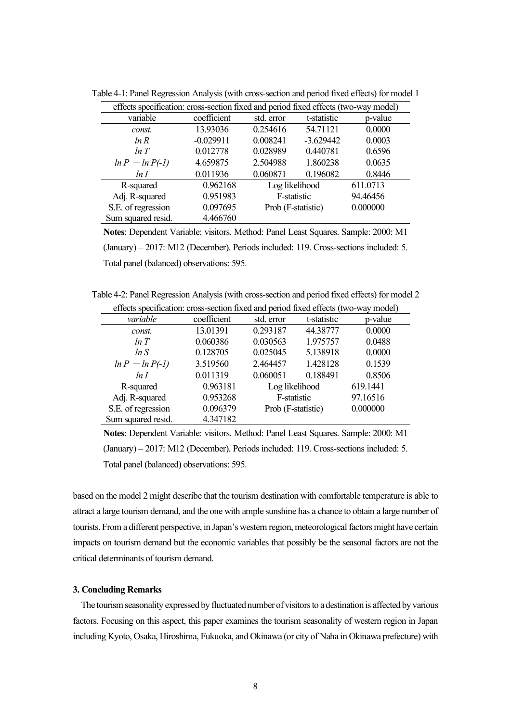| effects specification: cross-section fixed and period fixed effects (two-way model) |             |                               |             |          |  |  |
|-------------------------------------------------------------------------------------|-------------|-------------------------------|-------------|----------|--|--|
| variable                                                                            | coefficient | std. error                    | t-statistic | p-value  |  |  |
| const.                                                                              | 13.93036    | 0.254616                      | 54.71121    | 0.0000   |  |  |
| ln R                                                                                | $-0.029911$ | 0.008241                      | $-3.629442$ | 0.0003   |  |  |
| ln T                                                                                | 0.012778    | 0.028989                      | 0.440781    | 0.6596   |  |  |
| $ln P - ln P(-1)$                                                                   | 4.659875    | 2.504988                      | 1.860238    | 0.0635   |  |  |
| ln I                                                                                | 0.011936    | 0.060871                      | 0.196082    | 0.8446   |  |  |
| R-squared                                                                           | 0.962168    | Log likelihood<br>F-statistic |             | 611.0713 |  |  |
| Adj. R-squared                                                                      | 0.951983    |                               |             | 94.46456 |  |  |
| S.E. of regression                                                                  | 0.097695    | Prob (F-statistic)            |             | 0.000000 |  |  |
| Sum squared resid.                                                                  | 4.466760    |                               |             |          |  |  |

Table 4-1: Panel Regression Analysis (with cross-section and period fixed effects) for model 1

**Notes**: Dependent Variable: visitors. Method: Panel Least Squares. Sample: 2000: M1 (January) – 2017: M12 (December). Periods included: 119. Cross-sections included: 5. Total panel (balanced) observations: 595.

Table 4-2: Panel Regression Analysis (with cross-section and period fixed effects) for model 2

| effects specification: cross-section fixed and period fixed effects (two-way model) |             |                               |             |          |  |
|-------------------------------------------------------------------------------------|-------------|-------------------------------|-------------|----------|--|
| variable                                                                            | coefficient | std. error                    | t-statistic | p-value  |  |
| const.                                                                              | 13.01391    | 0.293187                      | 44.38777    | 0.0000   |  |
| ln T                                                                                | 0.060386    | 0.030563                      | 1.975757    | 0.0488   |  |
| ln S                                                                                | 0.128705    | 0.025045                      | 5.138918    | 0.0000   |  |
| $ln P - ln P(-1)$                                                                   | 3.519560    | 2.464457                      | 1.428128    | 0.1539   |  |
| ln I                                                                                | 0.011319    | 0.060051                      | 0.188491    | 0.8506   |  |
| R-squared                                                                           | 0.963181    | Log likelihood<br>F-statistic |             | 619.1441 |  |
| Adj. R-squared                                                                      | 0.953268    |                               |             | 97.16516 |  |
| S.E. of regression                                                                  | 0.096379    | Prob (F-statistic)            |             | 0.000000 |  |
| Sum squared resid.                                                                  | 4.347182    |                               |             |          |  |

**Notes**: Dependent Variable: visitors. Method: Panel Least Squares. Sample: 2000: M1 (January) – 2017: M12 (December). Periods included: 119. Cross-sections included: 5. Total panel (balanced) observations: 595.

based on the model 2 might describe that the tourism destination with comfortable temperature is able to attract a large tourism demand, and the one with ample sunshine has a chance to obtain a large number of tourists. From a different perspective, in Japan's western region, meteorologicalfactors might have certain impacts on tourism demand but the economic variables that possibly be the seasonal factors are not the critical determinants of tourism demand.

### **3. Concluding Remarks**

 The tourism seasonality expressed by fluctuated number of visitors to a destination is affected by various factors. Focusing on this aspect, this paper examines the tourism seasonality of western region in Japan including Kyoto, Osaka, Hiroshima, Fukuoka, and Okinawa (or city of Naha in Okinawa prefecture) with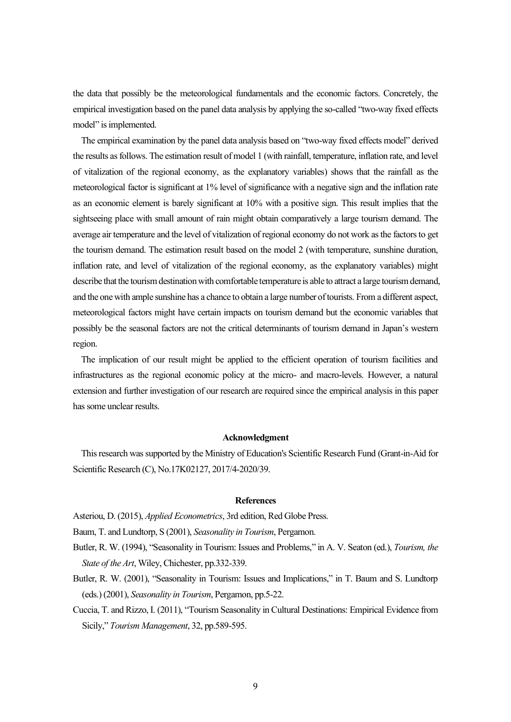the data that possibly be the meteorological fundamentals and the economic factors. Concretely, the empirical investigation based on the panel data analysis by applying the so-called "two-way fixed effects model" is implemented.

 The empirical examination by the panel data analysis based on "two-way fixed effects model" derived the results as follows. The estimation result of model 1 (with rainfall, temperature, inflation rate, and level of vitalization of the regional economy, as the explanatory variables) shows that the rainfall as the meteorological factor is significant at 1% level of significance with a negative sign and the inflation rate as an economic element is barely significant at 10% with a positive sign. This result implies that the sightseeing place with small amount of rain might obtain comparatively a large tourism demand. The average air temperature and the level of vitalization of regional economy do not work as the factors to get the tourism demand. The estimation result based on the model 2 (with temperature, sunshine duration, inflation rate, and level of vitalization of the regional economy, as the explanatory variables) might describe that the tourism destination with comfortable temperature is able to attract a large tourism demand, and the one with ample sunshine has a chance to obtain a large number of tourists. From a different aspect, meteorological factors might have certain impacts on tourism demand but the economic variables that possibly be the seasonal factors are not the critical determinants of tourism demand in Japan's western region.

 The implication of our result might be applied to the efficient operation of tourism facilities and infrastructures as the regional economic policy at the micro- and macro-levels. However, a natural extension and further investigation of our research are required since the empirical analysis in this paper has some unclear results.

#### **Acknowledgment**

 This research was supported by the Ministry of Education's Scientific Research Fund (Grant-in-Aid for Scientific Research (C), No.17K02127, 2017/4-2020/39.

#### **References**

Asteriou, D. (2015), *Applied Econometrics*, 3rd edition, Red Globe Press.

Baum, T. and Lundtorp, S (2001), *Seasonality in Tourism*, Pergamon.

Butler, R. W. (1994), "Seasonality in Tourism: Issues and Problems," in A. V. Seaton (ed.), *Tourism, the State of the Art*, Wiley, Chichester, pp.332-339.

Butler, R. W. (2001), "Seasonality in Tourism: Issues and Implications," in T. Baum and S. Lundtorp (eds.) (2001), *Seasonality in Tourism*, Pergamon, pp.5-22.

Cuccia, T. and Rizzo, I. (2011), "Tourism Seasonality in Cultural Destinations: Empirical Evidence from Sicily," *Tourism Management*, 32, pp.589-595.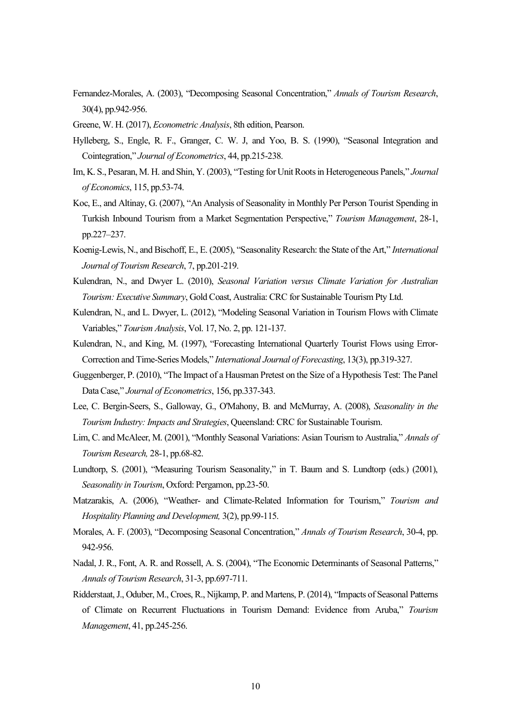- Fernandez-Morales, A. (2003), "Decomposing Seasonal Concentration," *Annals of Tourism Research*, 30(4), pp.942-956.
- Greene, W. H. (2017), *Econometric Analysis*, 8th edition, Pearson.
- Hylleberg, S., Engle, R. F., Granger, C. W. J, and Yoo, B. S. (1990), "Seasonal Integration and Cointegration," *Journal of Econometrics*, 44, pp.215-238.
- Im, K. S., Pesaran, M. H. and Shin, Y. (2003), "Testing for Unit Roots in Heterogeneous Panels," *Journal of Economics*, 115, pp.53-74.
- Koc, E., and Altinay, G. (2007), "An Analysis of Seasonality in Monthly Per Person Tourist Spending in Turkish Inbound Tourism from a Market Segmentation Perspective," *Tourism Management*, 28-1, pp.227–237.
- Koenig-Lewis, N., and Bischoff, E., E. (2005), "Seasonality Research: the State of the Art," *International Journal of Tourism Research*, 7, pp.201-219.
- Kulendran, N., and Dwyer L. (2010), *Seasonal Variation versus Climate Variation for Australian Tourism: Executive Summary*, Gold Coast, Australia: CRC for Sustainable Tourism Pty Ltd.
- Kulendran, N., and L. Dwyer, L. (2012), "Modeling Seasonal Variation in Tourism Flows with Climate Variables," *Tourism Analysis*, Vol. 17, No. 2, pp. 121-137.
- Kulendran, N., and King, M. (1997), "Forecasting International Quarterly Tourist Flows using Error-Correction and Time-Series Models," *International Journal of Forecasting*, 13(3), pp.319-327.
- Guggenberger, P. (2010), "The Impact of a Hausman Pretest on the Size of a Hypothesis Test: The Panel Data Case," *Journal of Econometrics*, 156, pp.337-343.
- Lee, C. Bergin-Seers, S., Galloway, G., O'Mahony, B. and McMurray, A. (2008), *Seasonality in the Tourism Industry: Impacts and Strategies*, Queensland: CRC for Sustainable Tourism.
- Lim, C. and McAleer, M. (2001), "Monthly Seasonal Variations: Asian Tourism to Australia," *Annals of Tourism Research,* 28-1, pp.68-82.
- Lundtorp, S. (2001), "Measuring Tourism Seasonality," in T. Baum and S. Lundtorp (eds.) (2001), *Seasonality in Tourism*, Oxford: Pergamon, pp.23-50.
- Matzarakis, A. (2006), "Weather- and Climate-Related Information for Tourism," *Tourism and Hospitality Planning and Development,* 3(2), pp.99-115.
- Morales, A. F. (2003), "Decomposing Seasonal Concentration," *Annals of Tourism Research*, 30-4, pp. 942-956.
- Nadal, J. R., Font, A. R. and Rossell, A. S. (2004), "The Economic Determinants of Seasonal Patterns," *Annals of Tourism Research*, 31-3, pp.697-711.
- Ridderstaat, J., Oduber, M., Croes, R., Nijkamp, P. and Martens, P. (2014), "Impacts of Seasonal Patterns of Climate on Recurrent Fluctuations in Tourism Demand: Evidence from Aruba," *Tourism Management*, 41, pp.245-256.